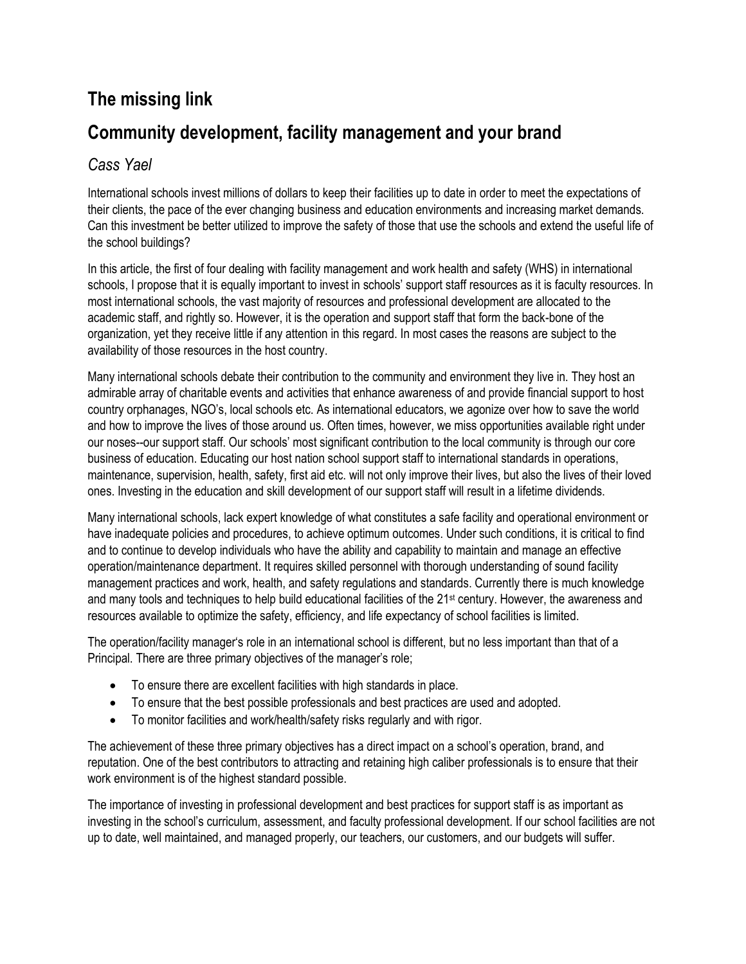## **The missing link Community development, facility management and your brand**

## *Cass Yael*

International schools invest millions of dollars to keep their facilities up to date in order to meet the expectations of their clients, the pace of the ever changing business and education environments and increasing market demands. Can this investment be better utilized to improve the safety of those that use the schools and extend the useful life of the school buildings?

In this article, the first of four dealing with facility management and work health and safety (WHS) in international schools, I propose that it is equally important to invest in schools' support staff resources as it is faculty resources. In most international schools, the vast majority of resources and professional development are allocated to the academic staff, and rightly so. However, it is the operation and support staff that form the back-bone of the organization, yet they receive little if any attention in this regard. In most cases the reasons are subject to the availability of those resources in the host country.

Many international schools debate their contribution to the community and environment they live in. They host an admirable array of charitable events and activities that enhance awareness of and provide financial support to host country orphanages, NGO's, local schools etc. As international educators, we agonize over how to save the world and how to improve the lives of those around us. Often times, however, we miss opportunities available right under our noses--our support staff. Our schools' most significant contribution to the local community is through our core business of education. Educating our host nation school support staff to international standards in operations, maintenance, supervision, health, safety, first aid etc. will not only improve their lives, but also the lives of their loved ones. Investing in the education and skill development of our support staff will result in a lifetime dividends.

Many international schools, lack expert knowledge of what constitutes a safe facility and operational environment or have inadequate policies and procedures, to achieve optimum outcomes. Under such conditions, it is critical to find and to continue to develop individuals who have the ability and capability to maintain and manage an effective operation/maintenance department. It requires skilled personnel with thorough understanding of sound facility management practices and work, health, and safety regulations and standards. Currently there is much knowledge and many tools and techniques to help build educational facilities of the 21st century. However, the awareness and resources available to optimize the safety, efficiency, and life expectancy of school facilities is limited.

The operation/facility manager's role in an international school is different, but no less important than that of a Principal. There are three primary objectives of the manager's role;

- To ensure there are excellent facilities with high standards in place.
- To ensure that the best possible professionals and best practices are used and adopted.
- To monitor facilities and work/health/safety risks regularly and with rigor.

The achievement of these three primary objectives has a direct impact on a school's operation, brand, and reputation. One of the best contributors to attracting and retaining high caliber professionals is to ensure that their work environment is of the highest standard possible.

The importance of investing in professional development and best practices for support staff is as important as investing in the school's curriculum, assessment, and faculty professional development. If our school facilities are not up to date, well maintained, and managed properly, our teachers, our customers, and our budgets will suffer.